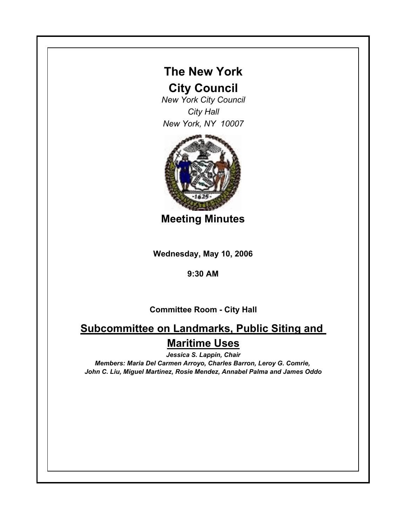

## **City Council**

*New York City Council City Hall New York, NY 10007*



**Meeting Minutes**

**Wednesday, May 10, 2006**

## **9:30 AM**

## **Committee Room - City Hall**

## **Subcommittee on Landmarks, Public Siting and Maritime Uses**

*Jessica S. Lappin, Chair*

*Members: Maria Del Carmen Arroyo, Charles Barron, Leroy G. Comrie, John C. Liu, Miguel Martinez, Rosie Mendez, Annabel Palma and James Oddo*